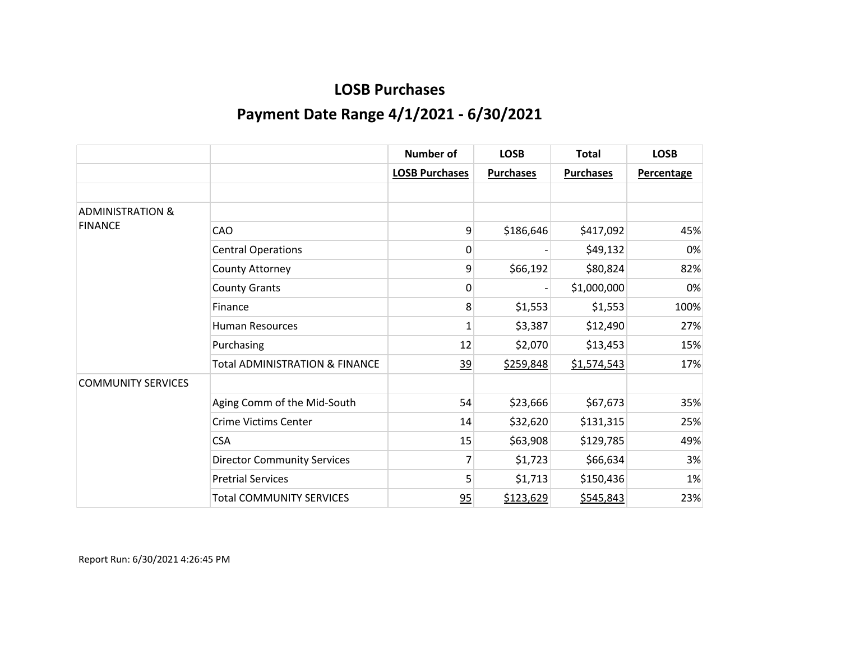|                             |                                           | <b>Number of</b>      | <b>LOSB</b>      | <b>Total</b>     | <b>LOSB</b>       |
|-----------------------------|-------------------------------------------|-----------------------|------------------|------------------|-------------------|
|                             |                                           | <b>LOSB Purchases</b> | <b>Purchases</b> | <b>Purchases</b> | <b>Percentage</b> |
|                             |                                           |                       |                  |                  |                   |
| <b>ADMINISTRATION &amp;</b> |                                           |                       |                  |                  |                   |
| <b>FINANCE</b>              | CAO                                       | 9                     | \$186,646        | \$417,092        | 45%               |
|                             | <b>Central Operations</b>                 | 0                     |                  | \$49,132         | 0%                |
|                             | County Attorney                           | 9                     | \$66,192         | \$80,824         | 82%               |
|                             | <b>County Grants</b>                      | 0                     |                  | \$1,000,000      | 0%                |
|                             | Finance                                   | 8                     | \$1,553          | \$1,553          | 100%              |
|                             | <b>Human Resources</b>                    | $\mathbf 1$           | \$3,387          | \$12,490         | 27%               |
|                             | Purchasing                                | 12                    | \$2,070          | \$13,453         | 15%               |
|                             | <b>Total ADMINISTRATION &amp; FINANCE</b> | 39                    | \$259,848        | \$1,574,543      | 17%               |
| <b>COMMUNITY SERVICES</b>   |                                           |                       |                  |                  |                   |
|                             | Aging Comm of the Mid-South               | 54                    | \$23,666         | \$67,673         | 35%               |
|                             | <b>Crime Victims Center</b>               | 14                    | \$32,620         | \$131,315        | 25%               |
|                             | <b>CSA</b>                                | 15                    | \$63,908         | \$129,785        | 49%               |
|                             | <b>Director Community Services</b>        | 7                     | \$1,723          | \$66,634         | 3%                |
|                             | <b>Pretrial Services</b>                  | 5                     | \$1,713          | \$150,436        | 1%                |
|                             | <b>Total COMMUNITY SERVICES</b>           | 95                    | \$123,629        | \$545,843        | 23%               |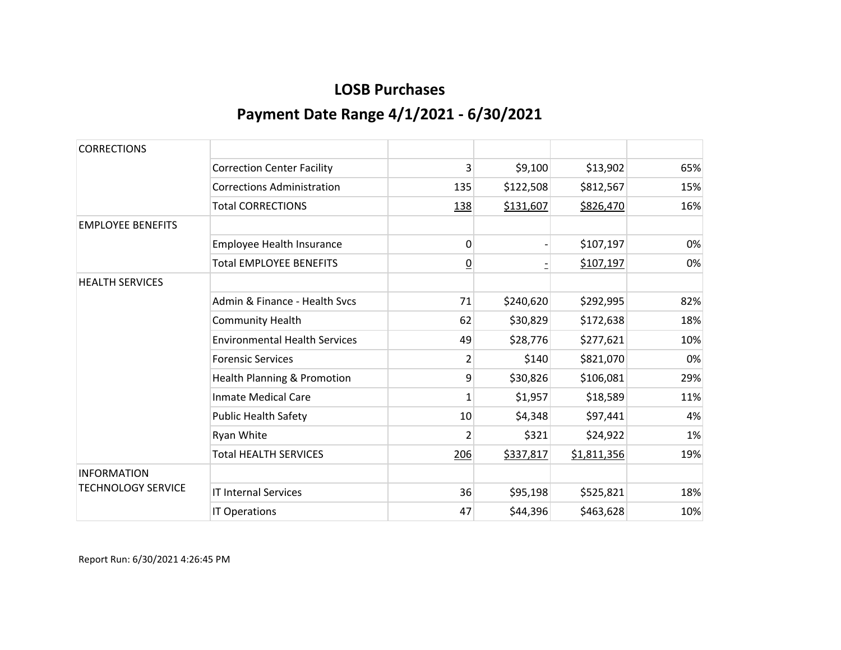| <b>CORRECTIONS</b>        |                                        |                |           |             |     |
|---------------------------|----------------------------------------|----------------|-----------|-------------|-----|
|                           | <b>Correction Center Facility</b>      | 3              | \$9,100   | \$13,902    | 65% |
|                           | <b>Corrections Administration</b>      | 135            | \$122,508 | \$812,567   | 15% |
|                           | <b>Total CORRECTIONS</b>               | 138            | \$131,607 | \$826,470   | 16% |
| <b>EMPLOYEE BENEFITS</b>  |                                        |                |           |             |     |
|                           | Employee Health Insurance              | 0              |           | \$107,197   | 0%  |
|                           | <b>Total EMPLOYEE BENEFITS</b>         | $\overline{0}$ |           | \$107,197   | 0%  |
| <b>HEALTH SERVICES</b>    |                                        |                |           |             |     |
|                           | Admin & Finance - Health Sycs          | 71             | \$240,620 | \$292,995   | 82% |
|                           | <b>Community Health</b>                | 62             | \$30,829  | \$172,638   | 18% |
|                           | <b>Environmental Health Services</b>   | 49             | \$28,776  | \$277,621   | 10% |
|                           | <b>Forensic Services</b>               | $\overline{2}$ | \$140     | \$821,070   | 0%  |
|                           | <b>Health Planning &amp; Promotion</b> | 9              | \$30,826  | \$106,081   | 29% |
|                           | <b>Inmate Medical Care</b>             | 1              | \$1,957   | \$18,589    | 11% |
|                           | <b>Public Health Safety</b>            | 10             | \$4,348   | \$97,441    | 4%  |
|                           | Ryan White                             | $\overline{2}$ | \$321     | \$24,922    | 1%  |
|                           | <b>Total HEALTH SERVICES</b>           | 206            | \$337,817 | \$1,811,356 | 19% |
| <b>INFORMATION</b>        |                                        |                |           |             |     |
| <b>TECHNOLOGY SERVICE</b> | <b>IT Internal Services</b>            | 36             | \$95,198  | \$525,821   | 18% |
|                           | IT Operations                          | 47             | \$44,396  | \$463,628   | 10% |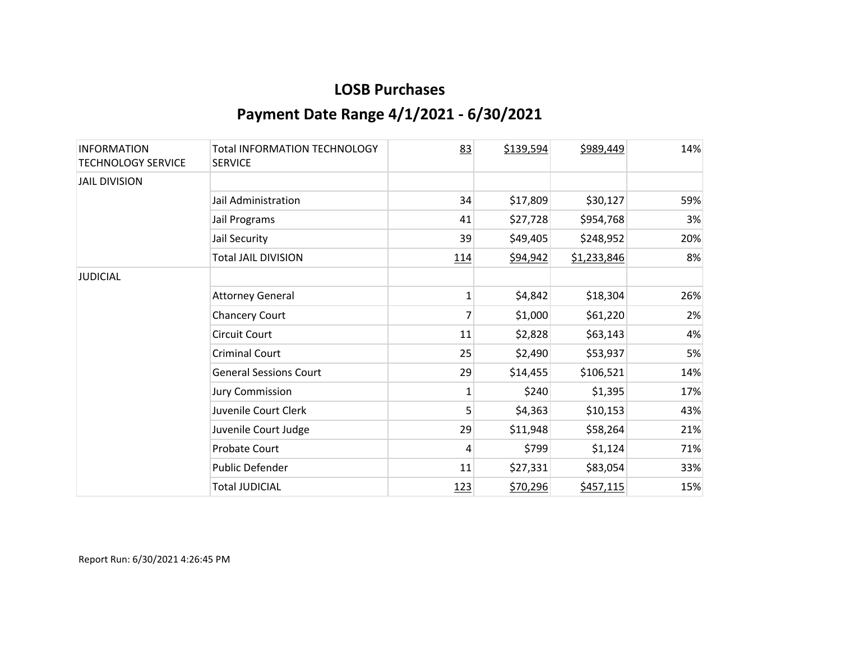| <b>INFORMATION</b><br><b>TECHNOLOGY SERVICE</b> | Total INFORMATION TECHNOLOGY<br><b>SERVICE</b> | 83           | \$139,594 | \$989,449   | 14% |
|-------------------------------------------------|------------------------------------------------|--------------|-----------|-------------|-----|
| <b>JAIL DIVISION</b>                            |                                                |              |           |             |     |
|                                                 | Jail Administration                            | 34           | \$17,809  | \$30,127    | 59% |
|                                                 | Jail Programs                                  | 41           | \$27,728  | \$954,768   | 3%  |
|                                                 | Jail Security                                  | 39           | \$49,405  | \$248,952   | 20% |
|                                                 | <b>Total JAIL DIVISION</b>                     | 114          | \$94,942  | \$1,233,846 | 8%  |
| <b>JUDICIAL</b>                                 |                                                |              |           |             |     |
|                                                 | <b>Attorney General</b>                        | 1            | \$4,842   | \$18,304    | 26% |
|                                                 | <b>Chancery Court</b>                          | 7            | \$1,000   | \$61,220    | 2%  |
|                                                 | <b>Circuit Court</b>                           | 11           | \$2,828   | \$63,143    | 4%  |
|                                                 | <b>Criminal Court</b>                          | 25           | \$2,490   | \$53,937    | 5%  |
|                                                 | <b>General Sessions Court</b>                  | 29           | \$14,455  | \$106,521   | 14% |
|                                                 | <b>Jury Commission</b>                         | $\mathbf{1}$ | \$240     | \$1,395     | 17% |
|                                                 | Juvenile Court Clerk                           | 5            | \$4,363   | \$10,153    | 43% |
|                                                 | Juvenile Court Judge                           | 29           | \$11,948  | \$58,264    | 21% |
|                                                 | Probate Court                                  | 4            | \$799     | \$1,124     | 71% |
|                                                 | <b>Public Defender</b>                         | 11           | \$27,331  | \$83,054    | 33% |
|                                                 | <b>Total JUDICIAL</b>                          | <u>123</u>   | \$70,296  | \$457,115   | 15% |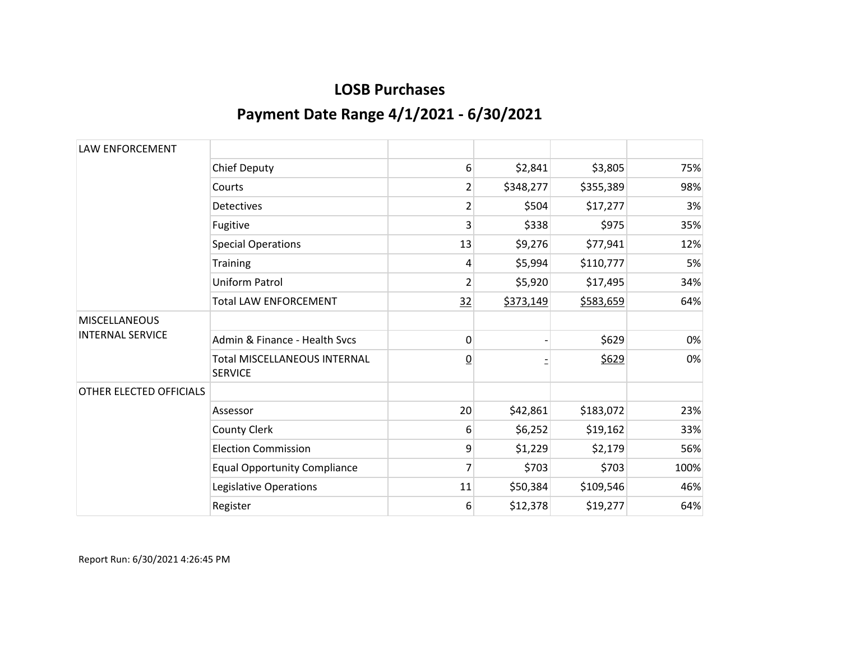| <b>LAW ENFORCEMENT</b>  |                                                       |                |           |           |      |
|-------------------------|-------------------------------------------------------|----------------|-----------|-----------|------|
|                         | <b>Chief Deputy</b>                                   | 6              | \$2,841   | \$3,805   | 75%  |
|                         | Courts                                                | 2              | \$348,277 | \$355,389 | 98%  |
|                         | <b>Detectives</b>                                     | $\overline{2}$ | \$504     | \$17,277  | 3%   |
|                         | Fugitive                                              | 3              | \$338     | \$975     | 35%  |
|                         | <b>Special Operations</b>                             | 13             | \$9,276   | \$77,941  | 12%  |
|                         | Training                                              | 4              | \$5,994   | \$110,777 | 5%   |
|                         | <b>Uniform Patrol</b>                                 | $\overline{2}$ | \$5,920   | \$17,495  | 34%  |
|                         | <b>Total LAW ENFORCEMENT</b>                          | 32             | \$373,149 | \$583,659 | 64%  |
| <b>MISCELLANEOUS</b>    |                                                       |                |           |           |      |
| <b>INTERNAL SERVICE</b> | Admin & Finance - Health Sycs                         | 0              |           | \$629     | 0%   |
|                         | <b>Total MISCELLANEOUS INTERNAL</b><br><b>SERVICE</b> | $\overline{0}$ |           | \$629     | 0%   |
| OTHER ELECTED OFFICIALS |                                                       |                |           |           |      |
|                         | Assessor                                              | 20             | \$42,861  | \$183,072 | 23%  |
|                         | <b>County Clerk</b>                                   | 6              | \$6,252   | \$19,162  | 33%  |
|                         | <b>Election Commission</b>                            | 9              | \$1,229   | \$2,179   | 56%  |
|                         | <b>Equal Opportunity Compliance</b>                   | 7              | \$703     | \$703     | 100% |
|                         | Legislative Operations                                | 11             | \$50,384  | \$109,546 | 46%  |
|                         | Register                                              | 6              | \$12,378  | \$19,277  | 64%  |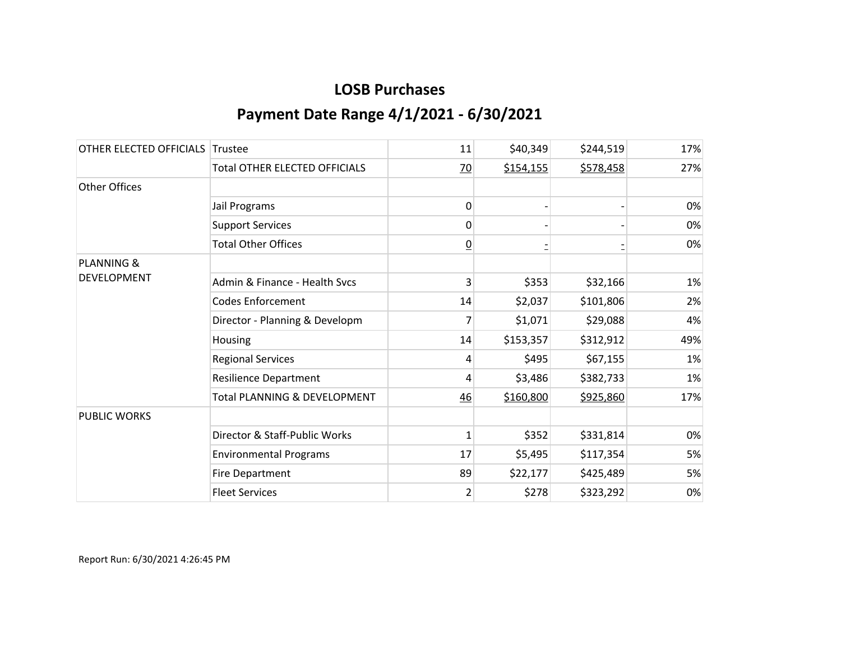| OTHER ELECTED OFFICIALS | Trustee                              | 11             | \$40,349  | \$244,519 | 17% |
|-------------------------|--------------------------------------|----------------|-----------|-----------|-----|
|                         | <b>Total OTHER ELECTED OFFICIALS</b> | $\frac{70}{2}$ | \$154,155 | \$578,458 | 27% |
| <b>Other Offices</b>    |                                      |                |           |           |     |
|                         | Jail Programs                        | 0              |           |           | 0%  |
|                         | <b>Support Services</b>              | 0              |           |           | 0%  |
|                         | <b>Total Other Offices</b>           | <u>0</u>       |           |           | 0%  |
| <b>PLANNING &amp;</b>   |                                      |                |           |           |     |
| <b>DEVELOPMENT</b>      | Admin & Finance - Health Svcs        | 3              | \$353     | \$32,166  | 1%  |
|                         | <b>Codes Enforcement</b>             | 14             | \$2,037   | \$101,806 | 2%  |
|                         | Director - Planning & Developm       | 7              | \$1,071   | \$29,088  | 4%  |
|                         | Housing                              | 14             | \$153,357 | \$312,912 | 49% |
|                         | <b>Regional Services</b>             | 4              | \$495     | \$67,155  | 1%  |
|                         | <b>Resilience Department</b>         | 4              | \$3,486   | \$382,733 | 1%  |
|                         | Total PLANNING & DEVELOPMENT         | 46             | \$160,800 | \$925,860 | 17% |
| <b>PUBLIC WORKS</b>     |                                      |                |           |           |     |
|                         | Director & Staff-Public Works        | 1              | \$352     | \$331,814 | 0%  |
|                         | <b>Environmental Programs</b>        | 17             | \$5,495   | \$117,354 | 5%  |
|                         | <b>Fire Department</b>               | 89             | \$22,177  | \$425,489 | 5%  |
|                         | <b>Fleet Services</b>                | 2              | \$278     | \$323,292 | 0%  |